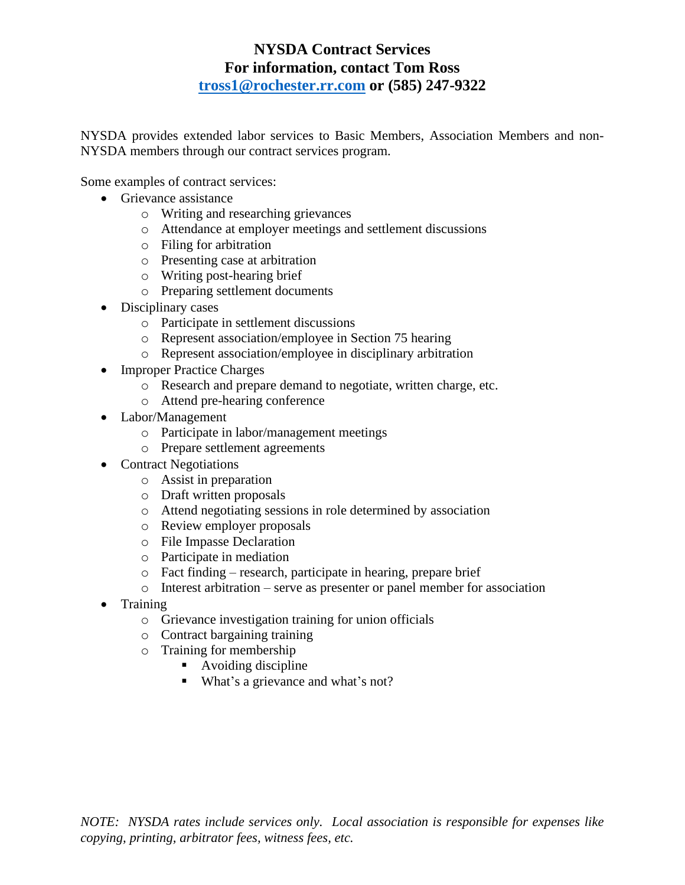## **NYSDA Contract Services For information, contact Tom Ross [tross1@rochester.rr.com](mailto:tross1@rochester.rr.com) or (585) 247-9322**

NYSDA provides extended labor services to Basic Members, Association Members and non-NYSDA members through our contract services program.

Some examples of contract services:

- Grievance assistance
	- o Writing and researching grievances
	- o Attendance at employer meetings and settlement discussions
	- o Filing for arbitration
	- o Presenting case at arbitration
	- o Writing post-hearing brief
	- o Preparing settlement documents
- Disciplinary cases
	- o Participate in settlement discussions
	- o Represent association/employee in Section 75 hearing
	- o Represent association/employee in disciplinary arbitration
- Improper Practice Charges
	- o Research and prepare demand to negotiate, written charge, etc.
	- o Attend pre-hearing conference
- Labor/Management
	- o Participate in labor/management meetings
	- o Prepare settlement agreements
- Contract Negotiations
	- o Assist in preparation
	- o Draft written proposals
	- o Attend negotiating sessions in role determined by association
	- o Review employer proposals
	- o File Impasse Declaration
	- o Participate in mediation
	- o Fact finding research, participate in hearing, prepare brief
	- o Interest arbitration serve as presenter or panel member for association
- Training
	- o Grievance investigation training for union officials
	- o Contract bargaining training
	- o Training for membership
		- Avoiding discipline
		- What's a grievance and what's not?